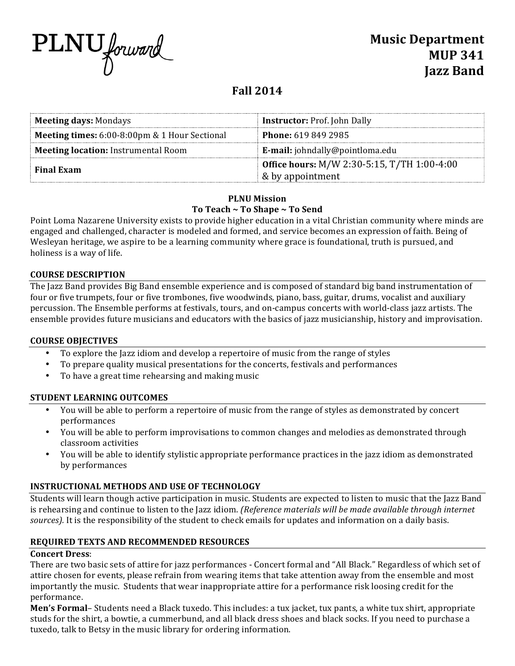

# **Fall 2014**

| <b>Meeting days: Mondays</b>                  | <b>Instructor: Prof. John Dally</b>                |  |
|-----------------------------------------------|----------------------------------------------------|--|
| Meeting times: 6:00-8:00pm & 1 Hour Sectional | <b>Phone: 619 849 2985</b>                         |  |
| <b>Meeting location:</b> Instrumental Room    | <b>E-mail:</b> johndally@pointloma.edu             |  |
| <b>Final Exam</b>                             | <b>Office hours:</b> M/W 2:30-5:15, T/TH 1:00-4:00 |  |
|                                               | & by appointment                                   |  |

# **PLNU Mission** To Teach ~ To Shape ~ To Send

Point Loma Nazarene University exists to provide higher education in a vital Christian community where minds are engaged and challenged, character is modeled and formed, and service becomes an expression of faith. Being of Wesleyan heritage, we aspire to be a learning community where grace is foundational, truth is pursued, and holiness is a way of life.

#### **COURSE DESCRIPTION**

The Jazz Band provides Big Band ensemble experience and is composed of standard big band instrumentation of four or five trumpets, four or five trombones, five woodwinds, piano, bass, guitar, drums, vocalist and auxiliary percussion. The Ensemble performs at festivals, tours, and on-campus concerts with world-class jazz artists. The ensemble provides future musicians and educators with the basics of jazz musicianship, history and improvisation.

# **COURSE OBJECTIVES**

- To explore the Jazz idiom and develop a repertoire of music from the range of styles
- To prepare quality musical presentations for the concerts, festivals and performances
- To have a great time rehearsing and making music

# **STUDENT LEARNING OUTCOMES**

- You will be able to perform a repertoire of music from the range of styles as demonstrated by concert performances
- You will be able to perform improvisations to common changes and melodies as demonstrated through classroom activities
- You will be able to identify stylistic appropriate performance practices in the jazz idiom as demonstrated by performances

# **INSTRUCTIONAL METHODS AND USE OF TECHNOLOGY**

Students will learn though active participation in music. Students are expected to listen to music that the Jazz Band is rehearsing and continue to listen to the Jazz idiom. (Reference materials will be made available through internet *sources*). It is the responsibility of the student to check emails for updates and information on a daily basis.

# **REQUIRED TEXTS AND RECOMMENDED RESOURCES**

# **Concert Dress**:

There are two basic sets of attire for jazz performances - Concert formal and "All Black." Regardless of which set of attire chosen for events, please refrain from wearing items that take attention away from the ensemble and most importantly the music. Students that wear inappropriate attire for a performance risk loosing credit for the performance. 

**Men's Formal**– Students need a Black tuxedo. This includes: a tux jacket, tux pants, a white tux shirt, appropriate studs for the shirt, a bowtie, a cummerbund, and all black dress shoes and black socks. If you need to purchase a tuxedo, talk to Betsy in the music library for ordering information.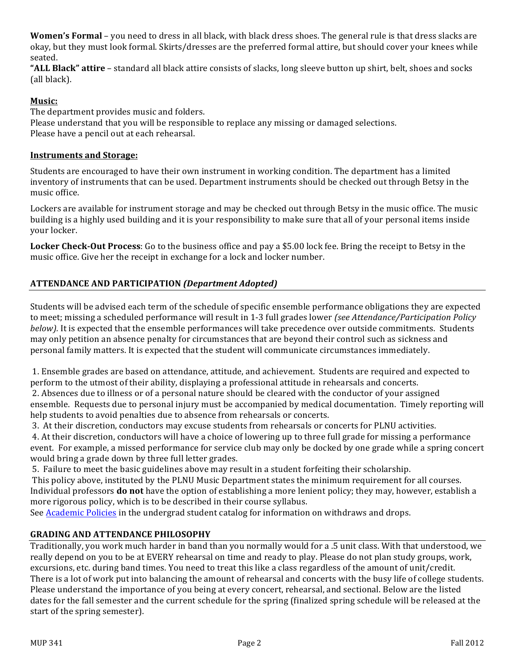**Women's Formal** – you need to dress in all black, with black dress shoes. The general rule is that dress slacks are okay, but they must look formal. Skirts/dresses are the preferred formal attire, but should cover your knees while seated. 

**"ALL Black" attire** – standard all black attire consists of slacks, long sleeve button up shirt, belt, shoes and socks (all black).

# **Music:**

The department provides music and folders. Please understand that you will be responsible to replace any missing or damaged selections. Please have a pencil out at each rehearsal.

#### **Instruments and Storage:**

Students are encouraged to have their own instrument in working condition. The department has a limited inventory of instruments that can be used. Department instruments should be checked out through Betsy in the music office. 

Lockers are available for instrument storage and may be checked out through Betsy in the music office. The music building is a highly used building and it is your responsibility to make sure that all of your personal items inside your locker.

**Locker Check-Out Process**: Go to the business office and pay a \$5.00 lock fee. Bring the receipt to Betsy in the music office. Give her the receipt in exchange for a lock and locker number.

# **ATTENDANCE AND PARTICIPATION** *(Department Adopted)*

Students will be advised each term of the schedule of specific ensemble performance obligations they are expected to meet; missing a scheduled performance will result in 1-3 full grades lower (see Attendance/Participation Policy *below).* It is expected that the ensemble performances will take precedence over outside commitments. Students may only petition an absence penalty for circumstances that are beyond their control such as sickness and personal family matters. It is expected that the student will communicate circumstances immediately.

1. Ensemble grades are based on attendance, attitude, and achievement. Students are required and expected to perform to the utmost of their ability, displaying a professional attitude in rehearsals and concerts.

2. Absences due to illness or of a personal nature should be cleared with the conductor of your assigned ensemble. Requests due to personal injury must be accompanied by medical documentation. Timely reporting will help students to avoid penalties due to absence from rehearsals or concerts.

3. At their discretion, conductors may excuse students from rehearsals or concerts for PLNU activities.

4. At their discretion, conductors will have a choice of lowering up to three full grade for missing a performance event. For example, a missed performance for service club may only be docked by one grade while a spring concert would bring a grade down by three full letter grades.

5. Failure to meet the basic guidelines above may result in a student forfeiting their scholarship.

This policy above, instituted by the PLNU Music Department states the minimum requirement for all courses. Individual professors **do not** have the option of establishing a more lenient policy; they may, however, establish a more rigorous policy, which is to be described in their course syllabus.

See Academic Policies in the undergrad student catalog for information on withdraws and drops.

# **GRADING AND ATTENDANCE PHILOSOPHY**

Traditionally, you work much harder in band than you normally would for a .5 unit class. With that understood, we really depend on you to be at EVERY rehearsal on time and ready to play. Please do not plan study groups, work, excursions, etc. during band times. You need to treat this like a class regardless of the amount of unit/credit. There is a lot of work put into balancing the amount of rehearsal and concerts with the busy life of college students. Please understand the importance of you being at every concert, rehearsal, and sectional. Below are the listed dates for the fall semester and the current schedule for the spring (finalized spring schedule will be released at the start of the spring semester).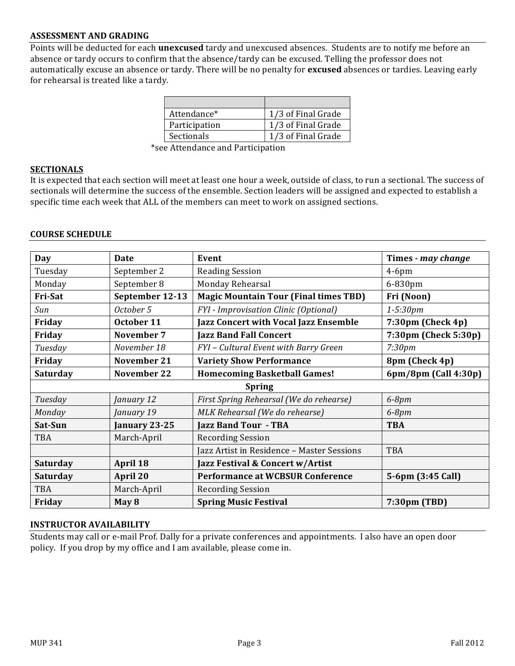#### **ASSESSMENT AND GRADING**

Points will be deducted for each **unexcused** tardy and unexcused absences. Students are to notify me before an absence or tardy occurs to confirm that the absence/tardy can be excused. Telling the professor does not automatically excuse an absence or tardy. There will be no penalty for **excused** absences or tardies. Leaving early for rehearsal is treated like a tardy.

| Attendance*       | 1/3 of Final Grade |
|-------------------|--------------------|
| Participation     | 1/3 of Final Grade |
| <b>Sectionals</b> | 1/3 of Final Grade |

\*see Attendance and Participation 

#### **SECTIONALS**

It is expected that each section will meet at least one hour a week, outside of class, to run a sectional. The success of sectionals will determine the success of the ensemble. Section leaders will be assigned and expected to establish a specific time each week that ALL of the members can meet to work on assigned sections.

#### **COURSE SCHEDULE**

| Day             | <b>Date</b>     | Event                                        | Times - may change          |  |
|-----------------|-----------------|----------------------------------------------|-----------------------------|--|
| Tuesday         | September 2     | <b>Reading Session</b>                       | $4-6$ pm                    |  |
| Monday          | September 8     | Monday Rehearsal                             | 6-830pm                     |  |
| Fri-Sat         | September 12-13 | <b>Magic Mountain Tour (Final times TBD)</b> | Fri (Noon)                  |  |
| Sun             | October 5       | FYI - Improvisation Clinic (Optional)        | $1 - 5:30pm$                |  |
| Friday          | October 11      | <b>Jazz Concert with Vocal Jazz Ensemble</b> | $7:30 \text{pm}$ (Check 4p) |  |
| Friday          | November 7      | <b>Jazz Band Fall Concert</b>                | 7:30pm (Check 5:30p)        |  |
| Tuesday         | November 18     | FYI - Cultural Event with Barry Green        | 7:30 <sub>pm</sub>          |  |
| Friday          | November 21     | <b>Variety Show Performance</b>              | 8pm (Check 4p)              |  |
| <b>Saturday</b> | November 22     | <b>Homecoming Basketball Games!</b>          | 6pm/8pm (Call 4:30p)        |  |
| <b>Spring</b>   |                 |                                              |                             |  |
| Tuesday         | January 12      | First Spring Rehearsal (We do rehearse)      | $6-8pm$                     |  |
| Monday          | January 19      | MLK Rehearsal (We do rehearse)               | $6-8pm$                     |  |
| Sat-Sun         | January 23-25   | <b>Jazz Band Tour - TBA</b>                  | <b>TBA</b>                  |  |
| TBA             | March-April     | <b>Recording Session</b>                     |                             |  |
|                 |                 | Jazz Artist in Residence - Master Sessions   | <b>TBA</b>                  |  |
| <b>Saturday</b> | April 18        | Jazz Festival & Concert w/Artist             |                             |  |
| Saturday        | April 20        | <b>Performance at WCBSUR Conference</b>      | 5-6pm (3:45 Call)           |  |
| TBA             | March-April     | <b>Recording Session</b>                     |                             |  |
| Friday          | May 8           | <b>Spring Music Festival</b>                 | 7:30pm (TBD)                |  |

#### **INSTRUCTOR AVAILABILITY**

Students may call or e-mail Prof. Dally for a private conferences and appointments. I also have an open door policy. If you drop by my office and I am available, please come in.